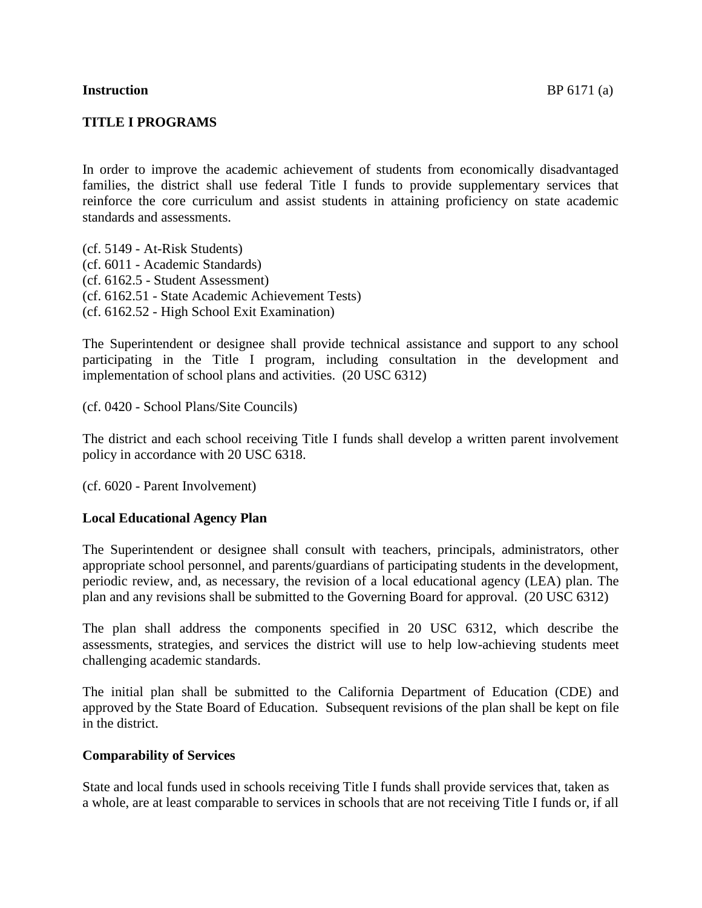## **TITLE I PROGRAMS**

In order to improve the academic achievement of students from economically disadvantaged families, the district shall use federal Title I funds to provide supplementary services that reinforce the core curriculum and assist students in attaining proficiency on state academic standards and assessments.

(cf. 5149 - At-Risk Students) (cf. 6011 - Academic Standards) (cf. 6162.5 - Student Assessment) (cf. 6162.51 - State Academic Achievement Tests) (cf. 6162.52 - High School Exit Examination)

The Superintendent or designee shall provide technical assistance and support to any school participating in the Title I program, including consultation in the development and implementation of school plans and activities. (20 USC 6312)

(cf. 0420 - School Plans/Site Councils)

The district and each school receiving Title I funds shall develop a written parent involvement policy in accordance with 20 USC 6318.

(cf. 6020 - Parent Involvement)

## **Local Educational Agency Plan**

The Superintendent or designee shall consult with teachers, principals, administrators, other appropriate school personnel, and parents/guardians of participating students in the development, periodic review, and, as necessary, the revision of a local educational agency (LEA) plan. The plan and any revisions shall be submitted to the Governing Board for approval. (20 USC 6312)

The plan shall address the components specified in 20 USC 6312, which describe the assessments, strategies, and services the district will use to help low-achieving students meet challenging academic standards.

The initial plan shall be submitted to the California Department of Education (CDE) and approved by the State Board of Education. Subsequent revisions of the plan shall be kept on file in the district.

## **Comparability of Services**

State and local funds used in schools receiving Title I funds shall provide services that, taken as a whole, are at least comparable to services in schools that are not receiving Title I funds or, if all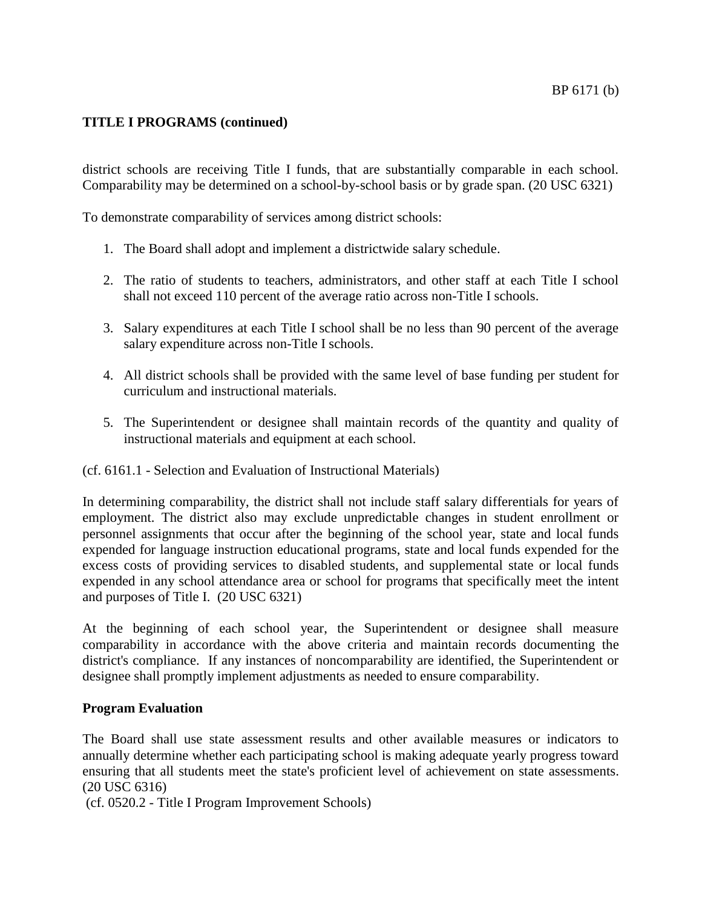district schools are receiving Title I funds, that are substantially comparable in each school. Comparability may be determined on a school-by-school basis or by grade span. (20 USC 6321)

To demonstrate comparability of services among district schools:

- 1. The Board shall adopt and implement a districtwide salary schedule.
- 2. The ratio of students to teachers, administrators, and other staff at each Title I school shall not exceed 110 percent of the average ratio across non-Title I schools.
- 3. Salary expenditures at each Title I school shall be no less than 90 percent of the average salary expenditure across non-Title I schools.
- 4. All district schools shall be provided with the same level of base funding per student for curriculum and instructional materials.
- 5. The Superintendent or designee shall maintain records of the quantity and quality of instructional materials and equipment at each school.
- (cf. 6161.1 Selection and Evaluation of Instructional Materials)

In determining comparability, the district shall not include staff salary differentials for years of employment. The district also may exclude unpredictable changes in student enrollment or personnel assignments that occur after the beginning of the school year, state and local funds expended for language instruction educational programs, state and local funds expended for the excess costs of providing services to disabled students, and supplemental state or local funds expended in any school attendance area or school for programs that specifically meet the intent and purposes of Title I. (20 USC 6321)

At the beginning of each school year, the Superintendent or designee shall measure comparability in accordance with the above criteria and maintain records documenting the district's compliance. If any instances of noncomparability are identified, the Superintendent or designee shall promptly implement adjustments as needed to ensure comparability.

## **Program Evaluation**

The Board shall use state assessment results and other available measures or indicators to annually determine whether each participating school is making adequate yearly progress toward ensuring that all students meet the state's proficient level of achievement on state assessments. (20 USC 6316)

(cf. 0520.2 - Title I Program Improvement Schools)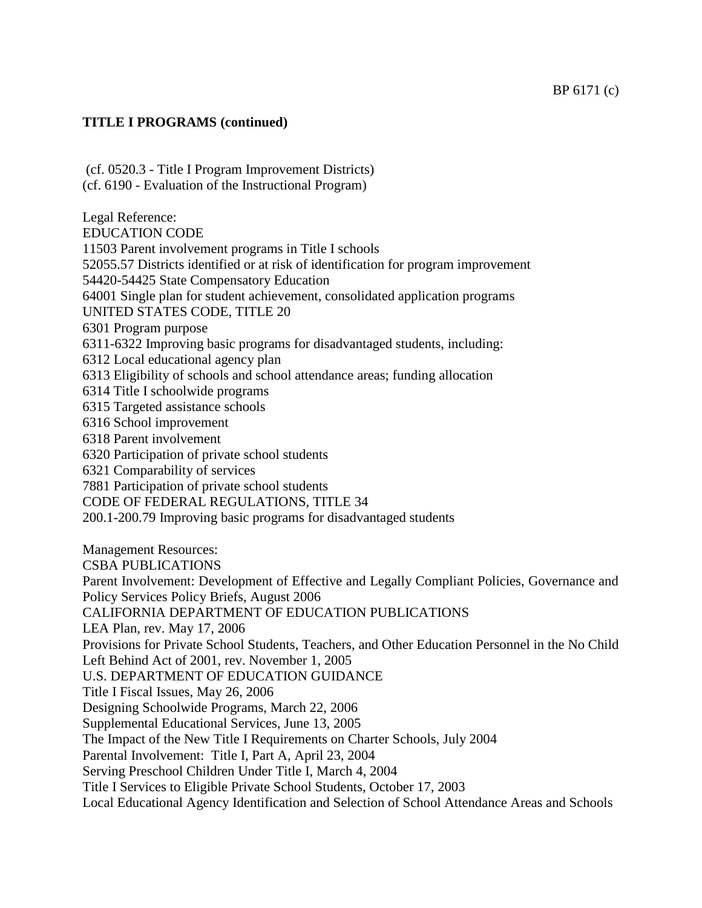(cf. 0520.3 - Title I Program Improvement Districts) (cf. 6190 - Evaluation of the Instructional Program) Legal Reference: EDUCATION CODE 11503 Parent involvement programs in Title I schools 52055.57 Districts identified or at risk of identification for program improvement 54420-54425 State Compensatory Education 64001 Single plan for student achievement, consolidated application programs UNITED STATES CODE, TITLE 20 6301 Program purpose 6311-6322 Improving basic programs for disadvantaged students, including: 6312 Local educational agency plan 6313 Eligibility of schools and school attendance areas; funding allocation 6314 Title I schoolwide programs 6315 Targeted assistance schools 6316 School improvement 6318 Parent involvement 6320 Participation of private school students 6321 Comparability of services 7881 Participation of private school students CODE OF FEDERAL REGULATIONS, TITLE 34 200.1-200.79 Improving basic programs for disadvantaged students Management Resources: CSBA PUBLICATIONS Parent Involvement: Development of Effective and Legally Compliant Policies, Governance and Policy Services Policy Briefs, August 2006 CALIFORNIA DEPARTMENT OF EDUCATION PUBLICATIONS LEA Plan, rev. May 17, 2006 Provisions for Private School Students, Teachers, and Other Education Personnel in the No Child Left Behind Act of 2001, rev. November 1, 2005 U.S. DEPARTMENT OF EDUCATION GUIDANCE Title I Fiscal Issues, May 26, 2006 Designing Schoolwide Programs, March 22, 2006 Supplemental Educational Services, June 13, 2005 The Impact of the New Title I Requirements on Charter Schools, July 2004 Parental Involvement: Title I, Part A, April 23, 2004 Serving Preschool Children Under Title I, March 4, 2004 Title I Services to Eligible Private School Students, October 17, 2003 Local Educational Agency Identification and Selection of School Attendance Areas and Schools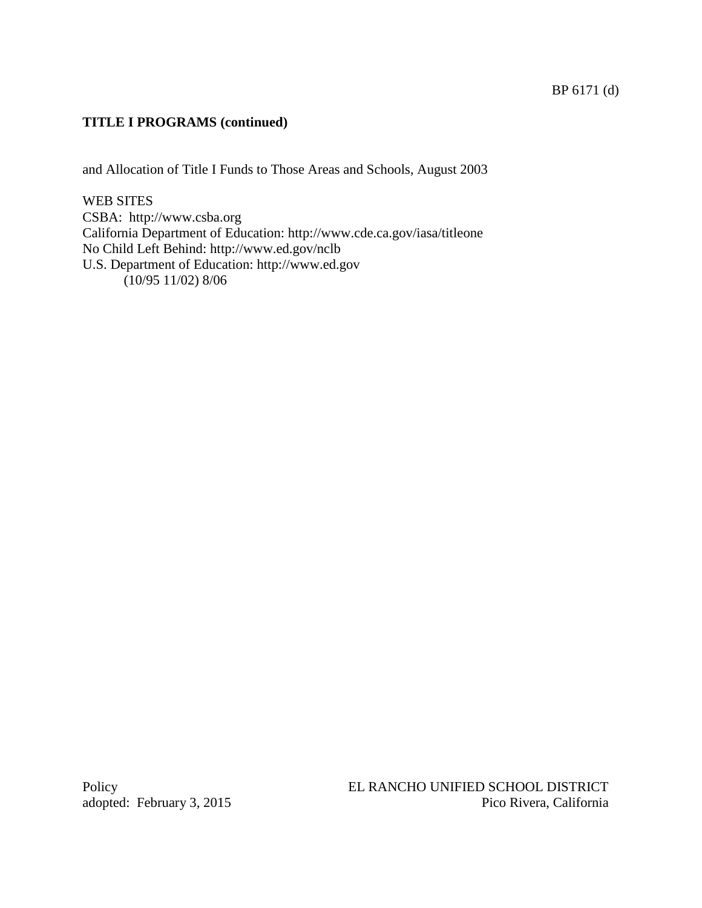and Allocation of Title I Funds to Those Areas and Schools, August 2003

## WEB SITES

CSBA: http://www.csba.org California Department of Education: http://www.cde.ca.gov/iasa/titleone No Child Left Behind: http://www.ed.gov/nclb U.S. Department of Education: http://www.ed.gov  $(10/95 11/02) 8/06$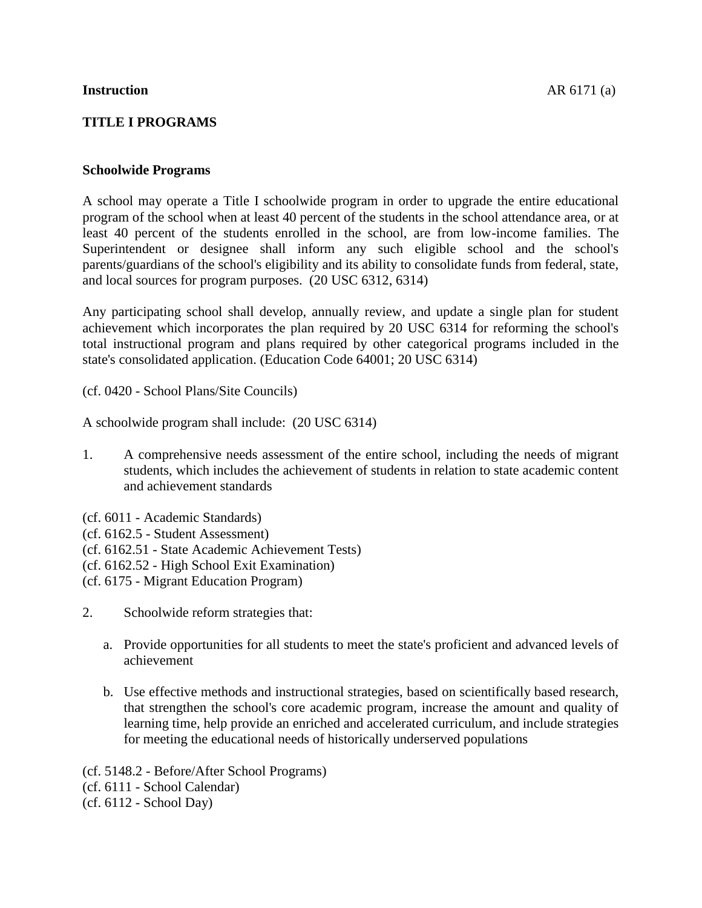# **TITLE I PROGRAMS**

## **Schoolwide Programs**

A school may operate a Title I schoolwide program in order to upgrade the entire educational program of the school when at least 40 percent of the students in the school attendance area, or at least 40 percent of the students enrolled in the school, are from low-income families. The Superintendent or designee shall inform any such eligible school and the school's parents/guardians of the school's eligibility and its ability to consolidate funds from federal, state, and local sources for program purposes. (20 USC 6312, 6314)

Any participating school shall develop, annually review, and update a single plan for student achievement which incorporates the plan required by 20 USC 6314 for reforming the school's total instructional program and plans required by other categorical programs included in the state's consolidated application. (Education Code 64001; 20 USC 6314)

(cf. 0420 - School Plans/Site Councils)

A schoolwide program shall include: (20 USC 6314)

- 1. A comprehensive needs assessment of the entire school, including the needs of migrant students, which includes the achievement of students in relation to state academic content and achievement standards
- (cf. 6011 Academic Standards)
- (cf. 6162.5 Student Assessment)
- (cf. 6162.51 State Academic Achievement Tests)
- (cf. 6162.52 High School Exit Examination)
- (cf. 6175 Migrant Education Program)
- 2. Schoolwide reform strategies that:
	- a. Provide opportunities for all students to meet the state's proficient and advanced levels of achievement
	- b. Use effective methods and instructional strategies, based on scientifically based research, that strengthen the school's core academic program, increase the amount and quality of learning time, help provide an enriched and accelerated curriculum, and include strategies for meeting the educational needs of historically underserved populations

(cf. 5148.2 - Before/After School Programs) (cf. 6111 - School Calendar) (cf. 6112 - School Day)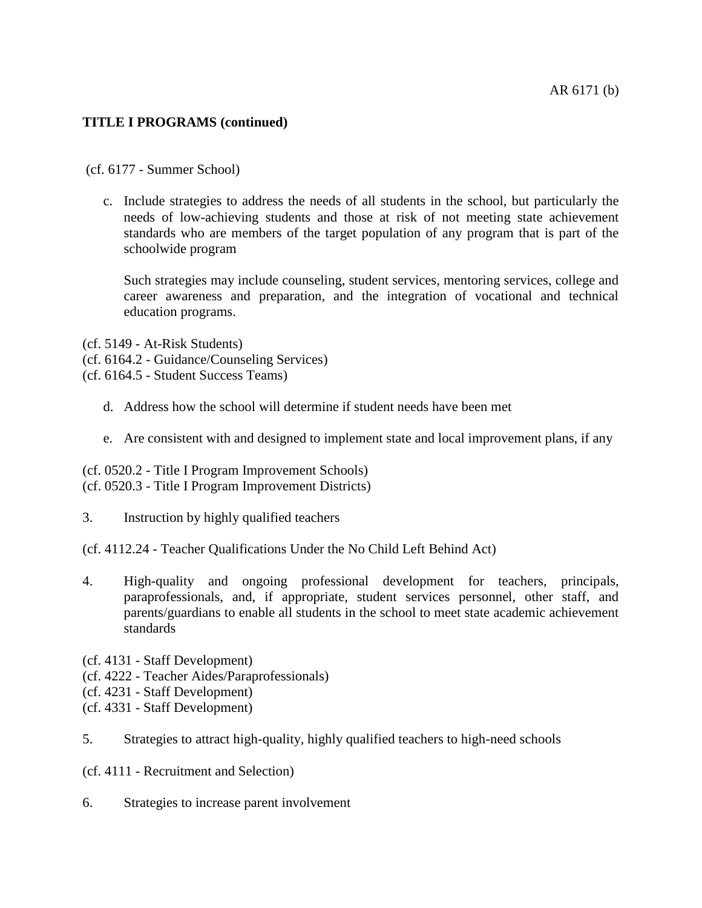(cf. 6177 - Summer School)

c. Include strategies to address the needs of all students in the school, but particularly the needs of low-achieving students and those at risk of not meeting state achievement standards who are members of the target population of any program that is part of the schoolwide program

Such strategies may include counseling, student services, mentoring services, college and career awareness and preparation, and the integration of vocational and technical education programs.

- (cf. 5149 At-Risk Students)
- (cf. 6164.2 Guidance/Counseling Services)
- (cf. 6164.5 Student Success Teams)
	- d. Address how the school will determine if student needs have been met
	- e. Are consistent with and designed to implement state and local improvement plans, if any

(cf. 0520.2 - Title I Program Improvement Schools) (cf. 0520.3 - Title I Program Improvement Districts)

- 3. Instruction by highly qualified teachers
- (cf. 4112.24 Teacher Qualifications Under the No Child Left Behind Act)
- 4. High-quality and ongoing professional development for teachers, principals, paraprofessionals, and, if appropriate, student services personnel, other staff, and parents/guardians to enable all students in the school to meet state academic achievement standards
- (cf. 4131 Staff Development)
- (cf. 4222 Teacher Aides/Paraprofessionals)
- (cf. 4231 Staff Development)
- (cf. 4331 Staff Development)
- 5. Strategies to attract high-quality, highly qualified teachers to high-need schools
- (cf. 4111 Recruitment and Selection)
- 6. Strategies to increase parent involvement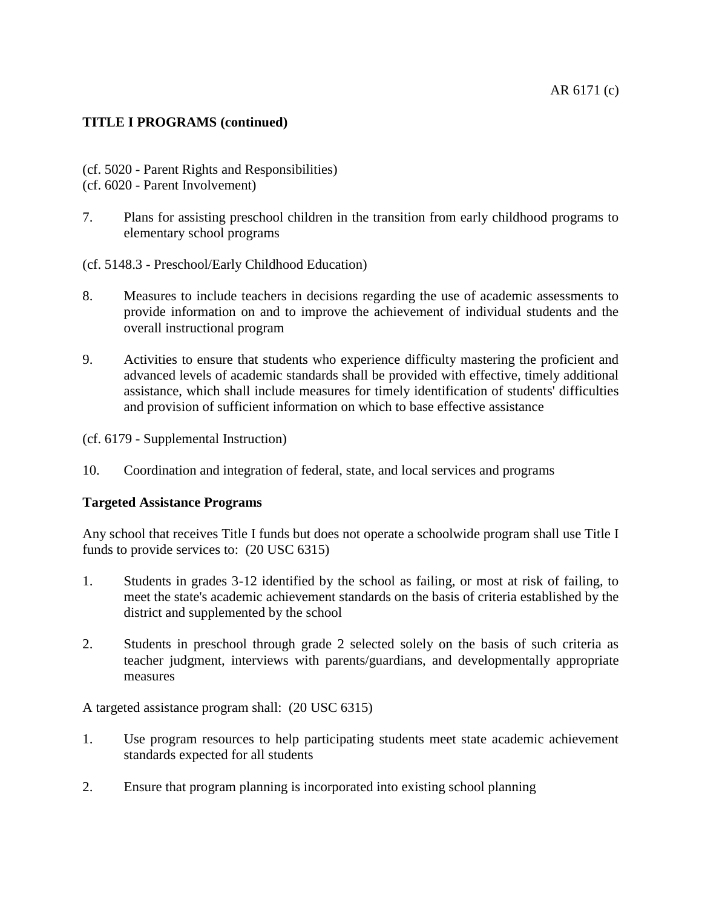- (cf. 5020 Parent Rights and Responsibilities)
- (cf. 6020 Parent Involvement)
- 7. Plans for assisting preschool children in the transition from early childhood programs to elementary school programs
- (cf. 5148.3 Preschool/Early Childhood Education)
- 8. Measures to include teachers in decisions regarding the use of academic assessments to provide information on and to improve the achievement of individual students and the overall instructional program
- 9. Activities to ensure that students who experience difficulty mastering the proficient and advanced levels of academic standards shall be provided with effective, timely additional assistance, which shall include measures for timely identification of students' difficulties and provision of sufficient information on which to base effective assistance

(cf. 6179 - Supplemental Instruction)

10. Coordination and integration of federal, state, and local services and programs

## **Targeted Assistance Programs**

Any school that receives Title I funds but does not operate a schoolwide program shall use Title I funds to provide services to: (20 USC 6315)

- 1. Students in grades 3-12 identified by the school as failing, or most at risk of failing, to meet the state's academic achievement standards on the basis of criteria established by the district and supplemented by the school
- 2. Students in preschool through grade 2 selected solely on the basis of such criteria as teacher judgment, interviews with parents/guardians, and developmentally appropriate measures

A targeted assistance program shall: (20 USC 6315)

- 1. Use program resources to help participating students meet state academic achievement standards expected for all students
- 2. Ensure that program planning is incorporated into existing school planning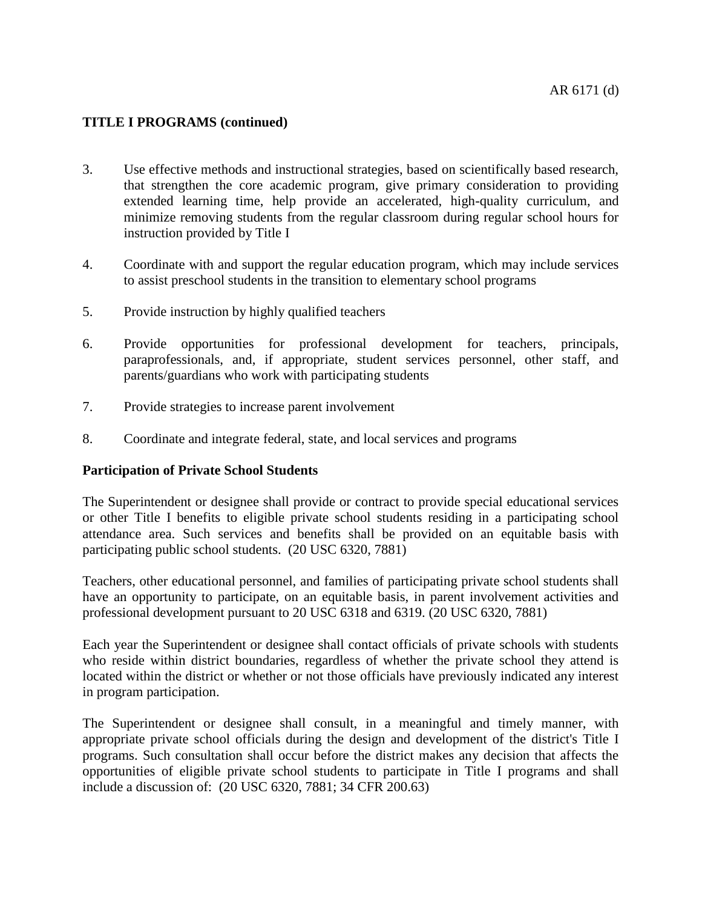- 3. Use effective methods and instructional strategies, based on scientifically based research, that strengthen the core academic program, give primary consideration to providing extended learning time, help provide an accelerated, high-quality curriculum, and minimize removing students from the regular classroom during regular school hours for instruction provided by Title I
- 4. Coordinate with and support the regular education program, which may include services to assist preschool students in the transition to elementary school programs
- 5. Provide instruction by highly qualified teachers
- 6. Provide opportunities for professional development for teachers, principals, paraprofessionals, and, if appropriate, student services personnel, other staff, and parents/guardians who work with participating students
- 7. Provide strategies to increase parent involvement
- 8. Coordinate and integrate federal, state, and local services and programs

## **Participation of Private School Students**

The Superintendent or designee shall provide or contract to provide special educational services or other Title I benefits to eligible private school students residing in a participating school attendance area. Such services and benefits shall be provided on an equitable basis with participating public school students. (20 USC 6320, 7881)

Teachers, other educational personnel, and families of participating private school students shall have an opportunity to participate, on an equitable basis, in parent involvement activities and professional development pursuant to 20 USC 6318 and 6319. (20 USC 6320, 7881)

Each year the Superintendent or designee shall contact officials of private schools with students who reside within district boundaries, regardless of whether the private school they attend is located within the district or whether or not those officials have previously indicated any interest in program participation.

The Superintendent or designee shall consult, in a meaningful and timely manner, with appropriate private school officials during the design and development of the district's Title I programs. Such consultation shall occur before the district makes any decision that affects the opportunities of eligible private school students to participate in Title I programs and shall include a discussion of: (20 USC 6320, 7881; 34 CFR 200.63)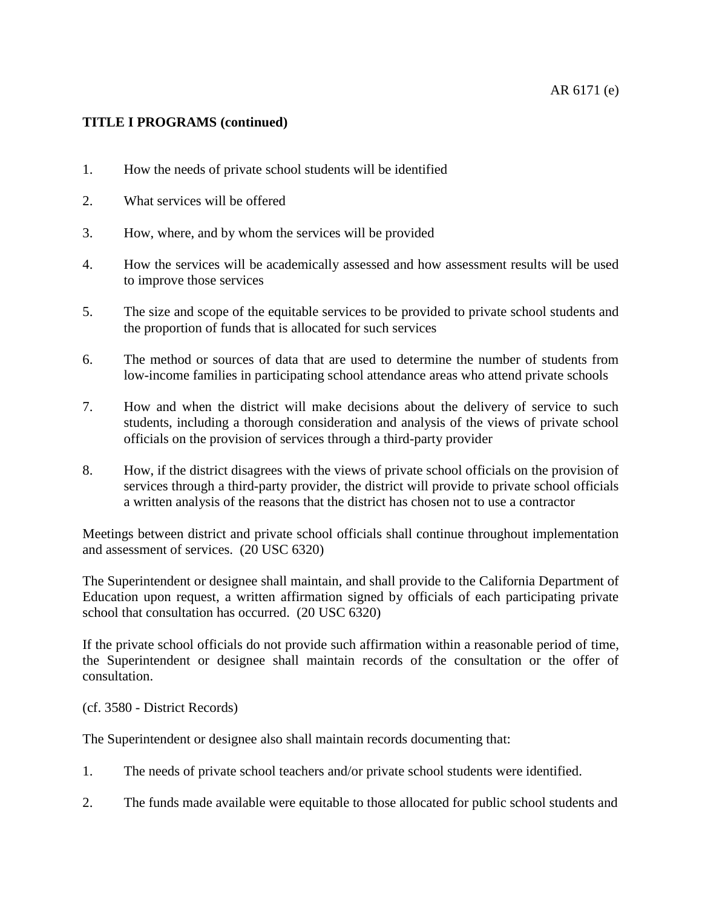- 1. How the needs of private school students will be identified
- 2. What services will be offered
- 3. How, where, and by whom the services will be provided
- 4. How the services will be academically assessed and how assessment results will be used to improve those services
- 5. The size and scope of the equitable services to be provided to private school students and the proportion of funds that is allocated for such services
- 6. The method or sources of data that are used to determine the number of students from low-income families in participating school attendance areas who attend private schools
- 7. How and when the district will make decisions about the delivery of service to such students, including a thorough consideration and analysis of the views of private school officials on the provision of services through a third-party provider
- 8. How, if the district disagrees with the views of private school officials on the provision of services through a third-party provider, the district will provide to private school officials a written analysis of the reasons that the district has chosen not to use a contractor

Meetings between district and private school officials shall continue throughout implementation and assessment of services. (20 USC 6320)

The Superintendent or designee shall maintain, and shall provide to the California Department of Education upon request, a written affirmation signed by officials of each participating private school that consultation has occurred. (20 USC 6320)

If the private school officials do not provide such affirmation within a reasonable period of time, the Superintendent or designee shall maintain records of the consultation or the offer of consultation.

(cf. 3580 - District Records)

The Superintendent or designee also shall maintain records documenting that:

1. The needs of private school teachers and/or private school students were identified.

2. The funds made available were equitable to those allocated for public school students and